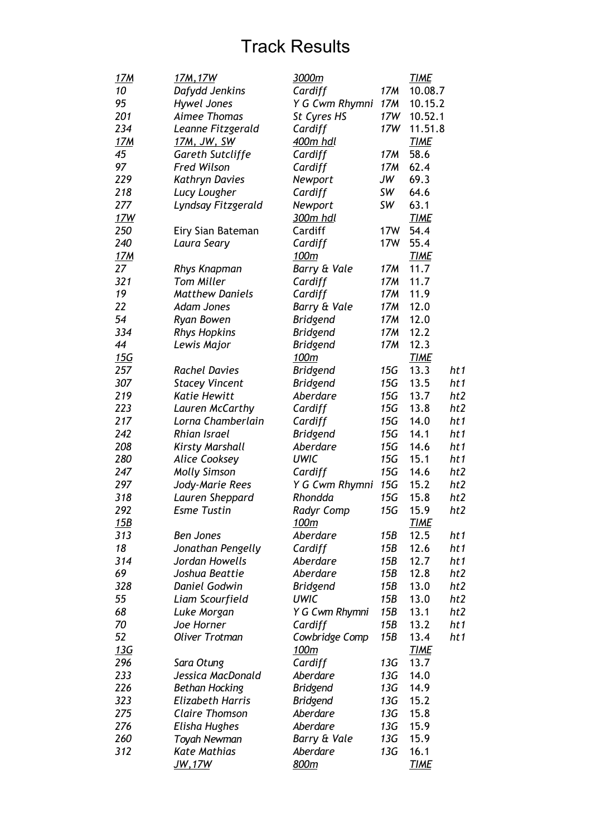| <u>17M</u>      | 17M, 17W                | 3000m             |                 | <b>TIME</b>  |                 |
|-----------------|-------------------------|-------------------|-----------------|--------------|-----------------|
| 10              | Dafydd Jenkins          | Cardiff           | 17M             | 10.08.7      |                 |
| 95              | <b>Hywel Jones</b>      | Y G Cwm Rhymni    | 17M             | 10.15.2      |                 |
| 201             | Aimee Thomas            | St Cyres HS       | 17W             | 10.52.1      |                 |
| 234             | Leanne Fitzgerald       | Cardiff           | 17W             | 11.51.8      |                 |
| <u>17M</u>      | <u>17M, JW, SW</u>      | 400m hdl          |                 | <b>TIME</b>  |                 |
| 45              | <b>Gareth Sutcliffe</b> | Cardiff           | 17M             | 58.6         |                 |
| 97              | <b>Fred Wilson</b>      | Cardiff           | 17M             | 62.4         |                 |
| 229             | <b>Kathryn Davies</b>   | Newport           | JW              | 69.3         |                 |
| 218             | Lucy Lougher            | Cardiff           | SW              | 64.6         |                 |
| 277             | Lyndsay Fitzgerald      | Newport           | SW              | 63.1         |                 |
| 17W             |                         | 300m hdl          |                 | <b>TIME</b>  |                 |
| 250             | Eiry Sian Bateman       | Cardiff           | 17W             | 54.4         |                 |
| 240             | Laura Seary             | Cardiff           | 17W             | 55.4         |                 |
| 17 <sub>M</sub> |                         | 100m              |                 | <b>TIME</b>  |                 |
| 27              | <b>Rhys Knapman</b>     | Barry & Vale      | 17M             | 11.7         |                 |
| 321             | <b>Tom Miller</b>       | Cardiff           | 17M             | 11.7         |                 |
| 19              | <b>Matthew Daniels</b>  | Cardiff           | 17M             | 11.9         |                 |
| 22              | <b>Adam Jones</b>       | Barry & Vale      | 17 <sub>M</sub> | 12.0         |                 |
| 54              | <b>Ryan Bowen</b>       | <b>Bridgend</b>   | 17M             | 12.0         |                 |
| 334             | <b>Rhys Hopkins</b>     | <b>Bridgend</b>   | 17M             | 12.2         |                 |
| 44              | Lewis Major             | <b>Bridgend</b>   | 17M             | 12.3         |                 |
| <u>15G</u>      |                         | 100m              |                 | <b>TIME</b>  |                 |
| 257             | <b>Rachel Davies</b>    | <b>Bridgend</b>   | 15G             | 13.3         | ht1             |
| 307             | <b>Stacey Vincent</b>   | <b>Bridgend</b>   | 15G             | 13.5         | ht1             |
| 219             | <b>Katie Hewitt</b>     | Aberdare          | 15G             | 13.7         | ht2             |
| 223             | Lauren McCarthy         | Cardiff           | 15G             | 13.8         | ht2             |
| 217             | Lorna Chamberlain       | Cardiff           | 15G             | 14.0         | ht1             |
| 242             | <b>Rhian Israel</b>     | <b>Bridgend</b>   | 15G             | 14.1         | ht 1            |
| 208             | <b>Kirsty Marshall</b>  | Aberdare          | 15G             | 14.6         | ht 1            |
| 280             | <b>Alice Cooksey</b>    | <b>UWIC</b>       | 15G             | 15.1         | ht1             |
| 247             | <b>Molly Simson</b>     | Cardiff           | 15G             | 14.6         | ht2             |
| 297             | Jody-Marie Rees         | Y G Cwm Rhymni    | 15G             | 15.2         | ht2             |
| 318             | Lauren Sheppard         | Rhondda           | 15G             | 15.8         | ht2             |
| 292             | <b>Esme Tustin</b>      | <b>Radyr Comp</b> | 15G             | 15.9         | ht2             |
| 15B             |                         | <u> 100m</u>      |                 | <u> TIME</u> |                 |
| 313             | <b>Ben Jones</b>        | Aberdare          | 15B             | 12.5         | ht 1            |
| 18              | Jonathan Pengelly       | Cardiff           | 15B             | 12.6         | ht 1            |
| 314             | Jordan Howells          | Aberdare          | 15B             | 12.7         | ht 1            |
| 69              | Joshua Beattie          | Aberdare          | 15B             | 12.8         | ht2             |
| 328             | Daniel Godwin           | <b>Bridgend</b>   | 15B             | 13.0         | ht <sub>2</sub> |
| 55              | Liam Scourfield         | <b>UWIC</b>       | 15B             | 13.0         | ht2             |
| 68              | Luke Morgan             | Y G Cwm Rhymni    | 15B             | 13.1         | ht2             |
| 70              | Joe Horner              | Cardiff           | 15B             | 13.2         | ht 1            |
| 52              | <b>Oliver Trotman</b>   | Cowbridge Comp    | 15B             | 13.4         | ht1             |
| 13G             |                         | 100m              |                 | <b>TIME</b>  |                 |
| 296             | Sara Otung              | Cardiff           | 13G             | 13.7         |                 |
| 233             | Jessica MacDonald       | Aberdare          | 13G             | 14.0         |                 |
| 226             | <b>Bethan Hocking</b>   | <b>Bridgend</b>   | 13G             | 14.9         |                 |
| 323             | <b>Elizabeth Harris</b> | <b>Bridgend</b>   | 13G             | 15.2         |                 |
| 275             | <b>Claire Thomson</b>   | Aberdare          | 13G             | 15.8         |                 |
| 276             | Elisha Hughes           | Aberdare          | 13G             | 15.9         |                 |
| 260             | Toyah Newman            | Barry & Vale      | 13G             | 15.9         |                 |
| 312             | <b>Kate Mathias</b>     | Aberdare          | 13G             | 16.1         |                 |
|                 | <u>JW,17W</u>           | 800m              |                 | <b>TIME</b>  |                 |
|                 |                         |                   |                 |              |                 |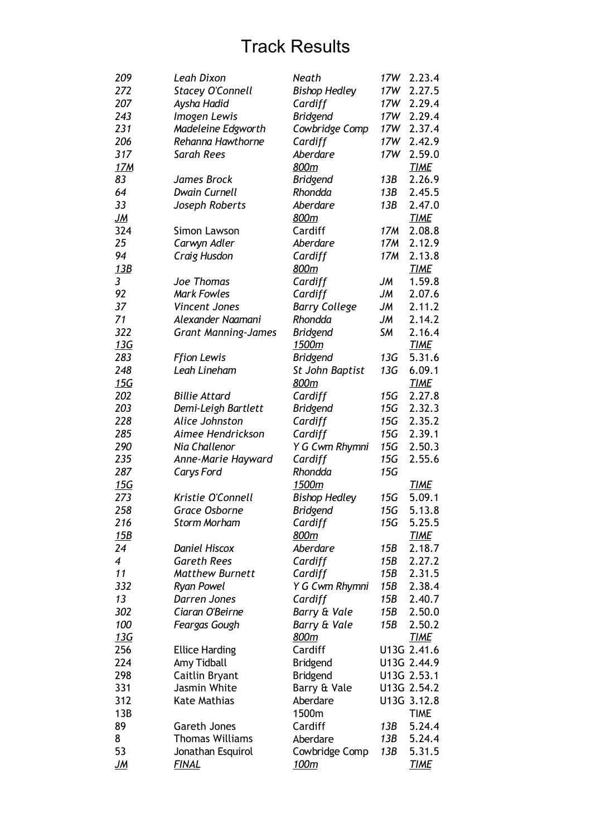| 272<br>17W<br><b>Stacey O'Connell</b><br><b>Bishop Hedley</b><br>Aysha Hadid<br>17W<br>2.29.4<br>207<br>Cardiff<br>243<br>Imogen Lewis<br><b>Bridgend</b><br>17W<br>2.29.4<br>231<br>Madeleine Edgworth<br>Cowbridge Comp<br>17W<br>2.37.4<br>17W<br>2.42.9<br>206<br>Rehanna Hawthorne<br>Cardiff<br>317<br>Aberdare<br>17W<br>2.59.0<br>Sarah Rees<br><u>17M</u><br>800m<br><b>TIME</b><br>83<br>2.26.9<br>James Brock<br><b>Bridgend</b><br>13B<br>64<br><b>Dwain Curnell</b><br>Rhondda<br>2.45.5<br>13B<br>33<br>Aberdare<br>Joseph Roberts<br>13B<br>2.47.0<br><u>JM</u><br>800m<br><b>TIME</b><br>324<br>Cardiff<br>17M<br>2.08.8<br>Simon Lawson<br>25<br>Aberdare<br>2.12.9<br>Carwyn Adler<br>17M<br>94<br>Craig Husdon<br>Cardiff<br>17M<br>2.13.8<br>13B<br>800m<br><b>TIME</b><br>3<br>JM<br>1.59.8<br>Joe Thomas<br>Cardiff<br>92<br><b>Mark Fowles</b><br>JМ<br>2.07.6<br>Cardiff<br>37<br>JМ<br>2.11.2<br><b>Vincent Jones</b><br><b>Barry College</b><br>71<br>Rhondda<br>JМ<br>2.14.2<br>Alexander Naamani<br>322<br><b>SM</b><br><b>Bridgend</b><br>2.16.4<br><b>Grant Manning-James</b><br>13G<br>1500m<br><b>TIME</b><br>283<br><b>Ffion Lewis</b><br>13G<br>5.31.6<br><b>Bridgend</b><br>248<br>Leah Lineham<br>13G<br>6.09.1<br>St John Baptist<br><u>15G</u><br>800m<br><b>TIME</b><br>202<br>15G<br>2.27.8<br><b>Billie Attard</b><br>Cardiff<br>203<br>Demi-Leigh Bartlett<br>15G<br>2.32.3<br><b>Bridgend</b><br>228<br>Alice Johnston<br>15G<br>2.35.2<br>Cardiff<br>285<br>15G<br>2.39.1<br>Aimee Hendrickson<br>Cardiff<br>290<br>Nia Challenor<br>15G<br>2.50.3<br>Y G Cwm Rhymni<br>235<br>15G<br>2.55.6<br>Anne-Marie Hayward<br>Cardiff<br>287<br>Rhondda<br>15G<br><b>Carys Ford</b><br><u>15G</u><br>1500m<br><b>TIME</b><br>15G<br>5.09.1<br>273<br>Kristie O'Connell<br><b>Bishop Hedley</b><br>258<br>15G<br>5.13.8<br><b>Grace Osborne</b><br><b>Bridgend</b><br>216<br>Storm Morham<br>Cardiff<br>15G<br>5.25.5<br>15B<br>800m<br><b>TIME</b><br>Aberdare<br>24<br><b>Daniel Hiscox</b><br>15B<br>2.18.7<br>$\overline{4}$<br><b>Gareth Rees</b><br>Cardiff<br>15B<br>2.27.2<br>11<br>2.31.5<br><b>Matthew Burnett</b><br>Cardiff<br>15B<br>2.38.4<br>332<br><b>Ryan Powel</b><br>Y G Cwm Rhymni<br>15B<br>13<br>Darren Jones<br>Cardiff<br>15B<br>2.40.7<br>302<br>2.50.0<br>Ciaran O'Beirne<br>Barry & Vale<br>15B<br>100<br>Barry & Vale<br>15B<br>2.50.2<br>Feargas Gough<br><u>13G</u><br>800m<br><b>TIME</b><br>256<br>Cardiff<br>U13G 2.41.6<br><b>Ellice Harding</b><br>224<br>U13G 2.44.9<br>Amy Tidball<br><b>Bridgend</b><br>298<br>U13G 2.53.1<br>Caitlin Bryant<br><b>Bridgend</b><br>331<br>Jasmin White<br>Barry & Vale<br>U13G 2.54.2<br>312<br><b>Kate Mathias</b><br>Aberdare<br>U13G 3.12.8<br>13B<br>1500m<br><b>TIME</b><br>89<br>Cardiff<br>5.24.4<br>Gareth Jones<br>13B<br><b>Thomas Williams</b><br>5.24.4<br>8<br>Aberdare<br>13B<br>53<br>13B<br>5.31.5<br>Jonathan Esquirol<br>Cowbridge Comp<br><b>FINAL</b><br>100m<br><b>TIME</b><br><u>JM</u> | 209 | Leah Dixon | Neath | 17W | 2.23.4 |
|------------------------------------------------------------------------------------------------------------------------------------------------------------------------------------------------------------------------------------------------------------------------------------------------------------------------------------------------------------------------------------------------------------------------------------------------------------------------------------------------------------------------------------------------------------------------------------------------------------------------------------------------------------------------------------------------------------------------------------------------------------------------------------------------------------------------------------------------------------------------------------------------------------------------------------------------------------------------------------------------------------------------------------------------------------------------------------------------------------------------------------------------------------------------------------------------------------------------------------------------------------------------------------------------------------------------------------------------------------------------------------------------------------------------------------------------------------------------------------------------------------------------------------------------------------------------------------------------------------------------------------------------------------------------------------------------------------------------------------------------------------------------------------------------------------------------------------------------------------------------------------------------------------------------------------------------------------------------------------------------------------------------------------------------------------------------------------------------------------------------------------------------------------------------------------------------------------------------------------------------------------------------------------------------------------------------------------------------------------------------------------------------------------------------------------------------------------------------------------------------------------------------------------------------------------------------------------------------------------------------------------------------------------------------------------------------------------------------------------------------------------------------------------------------------------------------------------------------------------------------------------------------------------------------------------------------------------------------------------------------------------------------|-----|------------|-------|-----|--------|
|                                                                                                                                                                                                                                                                                                                                                                                                                                                                                                                                                                                                                                                                                                                                                                                                                                                                                                                                                                                                                                                                                                                                                                                                                                                                                                                                                                                                                                                                                                                                                                                                                                                                                                                                                                                                                                                                                                                                                                                                                                                                                                                                                                                                                                                                                                                                                                                                                                                                                                                                                                                                                                                                                                                                                                                                                                                                                                                                                                                                                        |     |            |       |     | 2.27.5 |
|                                                                                                                                                                                                                                                                                                                                                                                                                                                                                                                                                                                                                                                                                                                                                                                                                                                                                                                                                                                                                                                                                                                                                                                                                                                                                                                                                                                                                                                                                                                                                                                                                                                                                                                                                                                                                                                                                                                                                                                                                                                                                                                                                                                                                                                                                                                                                                                                                                                                                                                                                                                                                                                                                                                                                                                                                                                                                                                                                                                                                        |     |            |       |     |        |
|                                                                                                                                                                                                                                                                                                                                                                                                                                                                                                                                                                                                                                                                                                                                                                                                                                                                                                                                                                                                                                                                                                                                                                                                                                                                                                                                                                                                                                                                                                                                                                                                                                                                                                                                                                                                                                                                                                                                                                                                                                                                                                                                                                                                                                                                                                                                                                                                                                                                                                                                                                                                                                                                                                                                                                                                                                                                                                                                                                                                                        |     |            |       |     |        |
|                                                                                                                                                                                                                                                                                                                                                                                                                                                                                                                                                                                                                                                                                                                                                                                                                                                                                                                                                                                                                                                                                                                                                                                                                                                                                                                                                                                                                                                                                                                                                                                                                                                                                                                                                                                                                                                                                                                                                                                                                                                                                                                                                                                                                                                                                                                                                                                                                                                                                                                                                                                                                                                                                                                                                                                                                                                                                                                                                                                                                        |     |            |       |     |        |
|                                                                                                                                                                                                                                                                                                                                                                                                                                                                                                                                                                                                                                                                                                                                                                                                                                                                                                                                                                                                                                                                                                                                                                                                                                                                                                                                                                                                                                                                                                                                                                                                                                                                                                                                                                                                                                                                                                                                                                                                                                                                                                                                                                                                                                                                                                                                                                                                                                                                                                                                                                                                                                                                                                                                                                                                                                                                                                                                                                                                                        |     |            |       |     |        |
|                                                                                                                                                                                                                                                                                                                                                                                                                                                                                                                                                                                                                                                                                                                                                                                                                                                                                                                                                                                                                                                                                                                                                                                                                                                                                                                                                                                                                                                                                                                                                                                                                                                                                                                                                                                                                                                                                                                                                                                                                                                                                                                                                                                                                                                                                                                                                                                                                                                                                                                                                                                                                                                                                                                                                                                                                                                                                                                                                                                                                        |     |            |       |     |        |
|                                                                                                                                                                                                                                                                                                                                                                                                                                                                                                                                                                                                                                                                                                                                                                                                                                                                                                                                                                                                                                                                                                                                                                                                                                                                                                                                                                                                                                                                                                                                                                                                                                                                                                                                                                                                                                                                                                                                                                                                                                                                                                                                                                                                                                                                                                                                                                                                                                                                                                                                                                                                                                                                                                                                                                                                                                                                                                                                                                                                                        |     |            |       |     |        |
|                                                                                                                                                                                                                                                                                                                                                                                                                                                                                                                                                                                                                                                                                                                                                                                                                                                                                                                                                                                                                                                                                                                                                                                                                                                                                                                                                                                                                                                                                                                                                                                                                                                                                                                                                                                                                                                                                                                                                                                                                                                                                                                                                                                                                                                                                                                                                                                                                                                                                                                                                                                                                                                                                                                                                                                                                                                                                                                                                                                                                        |     |            |       |     |        |
|                                                                                                                                                                                                                                                                                                                                                                                                                                                                                                                                                                                                                                                                                                                                                                                                                                                                                                                                                                                                                                                                                                                                                                                                                                                                                                                                                                                                                                                                                                                                                                                                                                                                                                                                                                                                                                                                                                                                                                                                                                                                                                                                                                                                                                                                                                                                                                                                                                                                                                                                                                                                                                                                                                                                                                                                                                                                                                                                                                                                                        |     |            |       |     |        |
|                                                                                                                                                                                                                                                                                                                                                                                                                                                                                                                                                                                                                                                                                                                                                                                                                                                                                                                                                                                                                                                                                                                                                                                                                                                                                                                                                                                                                                                                                                                                                                                                                                                                                                                                                                                                                                                                                                                                                                                                                                                                                                                                                                                                                                                                                                                                                                                                                                                                                                                                                                                                                                                                                                                                                                                                                                                                                                                                                                                                                        |     |            |       |     |        |
|                                                                                                                                                                                                                                                                                                                                                                                                                                                                                                                                                                                                                                                                                                                                                                                                                                                                                                                                                                                                                                                                                                                                                                                                                                                                                                                                                                                                                                                                                                                                                                                                                                                                                                                                                                                                                                                                                                                                                                                                                                                                                                                                                                                                                                                                                                                                                                                                                                                                                                                                                                                                                                                                                                                                                                                                                                                                                                                                                                                                                        |     |            |       |     |        |
|                                                                                                                                                                                                                                                                                                                                                                                                                                                                                                                                                                                                                                                                                                                                                                                                                                                                                                                                                                                                                                                                                                                                                                                                                                                                                                                                                                                                                                                                                                                                                                                                                                                                                                                                                                                                                                                                                                                                                                                                                                                                                                                                                                                                                                                                                                                                                                                                                                                                                                                                                                                                                                                                                                                                                                                                                                                                                                                                                                                                                        |     |            |       |     |        |
|                                                                                                                                                                                                                                                                                                                                                                                                                                                                                                                                                                                                                                                                                                                                                                                                                                                                                                                                                                                                                                                                                                                                                                                                                                                                                                                                                                                                                                                                                                                                                                                                                                                                                                                                                                                                                                                                                                                                                                                                                                                                                                                                                                                                                                                                                                                                                                                                                                                                                                                                                                                                                                                                                                                                                                                                                                                                                                                                                                                                                        |     |            |       |     |        |
|                                                                                                                                                                                                                                                                                                                                                                                                                                                                                                                                                                                                                                                                                                                                                                                                                                                                                                                                                                                                                                                                                                                                                                                                                                                                                                                                                                                                                                                                                                                                                                                                                                                                                                                                                                                                                                                                                                                                                                                                                                                                                                                                                                                                                                                                                                                                                                                                                                                                                                                                                                                                                                                                                                                                                                                                                                                                                                                                                                                                                        |     |            |       |     |        |
|                                                                                                                                                                                                                                                                                                                                                                                                                                                                                                                                                                                                                                                                                                                                                                                                                                                                                                                                                                                                                                                                                                                                                                                                                                                                                                                                                                                                                                                                                                                                                                                                                                                                                                                                                                                                                                                                                                                                                                                                                                                                                                                                                                                                                                                                                                                                                                                                                                                                                                                                                                                                                                                                                                                                                                                                                                                                                                                                                                                                                        |     |            |       |     |        |
|                                                                                                                                                                                                                                                                                                                                                                                                                                                                                                                                                                                                                                                                                                                                                                                                                                                                                                                                                                                                                                                                                                                                                                                                                                                                                                                                                                                                                                                                                                                                                                                                                                                                                                                                                                                                                                                                                                                                                                                                                                                                                                                                                                                                                                                                                                                                                                                                                                                                                                                                                                                                                                                                                                                                                                                                                                                                                                                                                                                                                        |     |            |       |     |        |
|                                                                                                                                                                                                                                                                                                                                                                                                                                                                                                                                                                                                                                                                                                                                                                                                                                                                                                                                                                                                                                                                                                                                                                                                                                                                                                                                                                                                                                                                                                                                                                                                                                                                                                                                                                                                                                                                                                                                                                                                                                                                                                                                                                                                                                                                                                                                                                                                                                                                                                                                                                                                                                                                                                                                                                                                                                                                                                                                                                                                                        |     |            |       |     |        |
|                                                                                                                                                                                                                                                                                                                                                                                                                                                                                                                                                                                                                                                                                                                                                                                                                                                                                                                                                                                                                                                                                                                                                                                                                                                                                                                                                                                                                                                                                                                                                                                                                                                                                                                                                                                                                                                                                                                                                                                                                                                                                                                                                                                                                                                                                                                                                                                                                                                                                                                                                                                                                                                                                                                                                                                                                                                                                                                                                                                                                        |     |            |       |     |        |
|                                                                                                                                                                                                                                                                                                                                                                                                                                                                                                                                                                                                                                                                                                                                                                                                                                                                                                                                                                                                                                                                                                                                                                                                                                                                                                                                                                                                                                                                                                                                                                                                                                                                                                                                                                                                                                                                                                                                                                                                                                                                                                                                                                                                                                                                                                                                                                                                                                                                                                                                                                                                                                                                                                                                                                                                                                                                                                                                                                                                                        |     |            |       |     |        |
|                                                                                                                                                                                                                                                                                                                                                                                                                                                                                                                                                                                                                                                                                                                                                                                                                                                                                                                                                                                                                                                                                                                                                                                                                                                                                                                                                                                                                                                                                                                                                                                                                                                                                                                                                                                                                                                                                                                                                                                                                                                                                                                                                                                                                                                                                                                                                                                                                                                                                                                                                                                                                                                                                                                                                                                                                                                                                                                                                                                                                        |     |            |       |     |        |
|                                                                                                                                                                                                                                                                                                                                                                                                                                                                                                                                                                                                                                                                                                                                                                                                                                                                                                                                                                                                                                                                                                                                                                                                                                                                                                                                                                                                                                                                                                                                                                                                                                                                                                                                                                                                                                                                                                                                                                                                                                                                                                                                                                                                                                                                                                                                                                                                                                                                                                                                                                                                                                                                                                                                                                                                                                                                                                                                                                                                                        |     |            |       |     |        |
|                                                                                                                                                                                                                                                                                                                                                                                                                                                                                                                                                                                                                                                                                                                                                                                                                                                                                                                                                                                                                                                                                                                                                                                                                                                                                                                                                                                                                                                                                                                                                                                                                                                                                                                                                                                                                                                                                                                                                                                                                                                                                                                                                                                                                                                                                                                                                                                                                                                                                                                                                                                                                                                                                                                                                                                                                                                                                                                                                                                                                        |     |            |       |     |        |
|                                                                                                                                                                                                                                                                                                                                                                                                                                                                                                                                                                                                                                                                                                                                                                                                                                                                                                                                                                                                                                                                                                                                                                                                                                                                                                                                                                                                                                                                                                                                                                                                                                                                                                                                                                                                                                                                                                                                                                                                                                                                                                                                                                                                                                                                                                                                                                                                                                                                                                                                                                                                                                                                                                                                                                                                                                                                                                                                                                                                                        |     |            |       |     |        |
|                                                                                                                                                                                                                                                                                                                                                                                                                                                                                                                                                                                                                                                                                                                                                                                                                                                                                                                                                                                                                                                                                                                                                                                                                                                                                                                                                                                                                                                                                                                                                                                                                                                                                                                                                                                                                                                                                                                                                                                                                                                                                                                                                                                                                                                                                                                                                                                                                                                                                                                                                                                                                                                                                                                                                                                                                                                                                                                                                                                                                        |     |            |       |     |        |
|                                                                                                                                                                                                                                                                                                                                                                                                                                                                                                                                                                                                                                                                                                                                                                                                                                                                                                                                                                                                                                                                                                                                                                                                                                                                                                                                                                                                                                                                                                                                                                                                                                                                                                                                                                                                                                                                                                                                                                                                                                                                                                                                                                                                                                                                                                                                                                                                                                                                                                                                                                                                                                                                                                                                                                                                                                                                                                                                                                                                                        |     |            |       |     |        |
|                                                                                                                                                                                                                                                                                                                                                                                                                                                                                                                                                                                                                                                                                                                                                                                                                                                                                                                                                                                                                                                                                                                                                                                                                                                                                                                                                                                                                                                                                                                                                                                                                                                                                                                                                                                                                                                                                                                                                                                                                                                                                                                                                                                                                                                                                                                                                                                                                                                                                                                                                                                                                                                                                                                                                                                                                                                                                                                                                                                                                        |     |            |       |     |        |
|                                                                                                                                                                                                                                                                                                                                                                                                                                                                                                                                                                                                                                                                                                                                                                                                                                                                                                                                                                                                                                                                                                                                                                                                                                                                                                                                                                                                                                                                                                                                                                                                                                                                                                                                                                                                                                                                                                                                                                                                                                                                                                                                                                                                                                                                                                                                                                                                                                                                                                                                                                                                                                                                                                                                                                                                                                                                                                                                                                                                                        |     |            |       |     |        |
|                                                                                                                                                                                                                                                                                                                                                                                                                                                                                                                                                                                                                                                                                                                                                                                                                                                                                                                                                                                                                                                                                                                                                                                                                                                                                                                                                                                                                                                                                                                                                                                                                                                                                                                                                                                                                                                                                                                                                                                                                                                                                                                                                                                                                                                                                                                                                                                                                                                                                                                                                                                                                                                                                                                                                                                                                                                                                                                                                                                                                        |     |            |       |     |        |
|                                                                                                                                                                                                                                                                                                                                                                                                                                                                                                                                                                                                                                                                                                                                                                                                                                                                                                                                                                                                                                                                                                                                                                                                                                                                                                                                                                                                                                                                                                                                                                                                                                                                                                                                                                                                                                                                                                                                                                                                                                                                                                                                                                                                                                                                                                                                                                                                                                                                                                                                                                                                                                                                                                                                                                                                                                                                                                                                                                                                                        |     |            |       |     |        |
|                                                                                                                                                                                                                                                                                                                                                                                                                                                                                                                                                                                                                                                                                                                                                                                                                                                                                                                                                                                                                                                                                                                                                                                                                                                                                                                                                                                                                                                                                                                                                                                                                                                                                                                                                                                                                                                                                                                                                                                                                                                                                                                                                                                                                                                                                                                                                                                                                                                                                                                                                                                                                                                                                                                                                                                                                                                                                                                                                                                                                        |     |            |       |     |        |
|                                                                                                                                                                                                                                                                                                                                                                                                                                                                                                                                                                                                                                                                                                                                                                                                                                                                                                                                                                                                                                                                                                                                                                                                                                                                                                                                                                                                                                                                                                                                                                                                                                                                                                                                                                                                                                                                                                                                                                                                                                                                                                                                                                                                                                                                                                                                                                                                                                                                                                                                                                                                                                                                                                                                                                                                                                                                                                                                                                                                                        |     |            |       |     |        |
|                                                                                                                                                                                                                                                                                                                                                                                                                                                                                                                                                                                                                                                                                                                                                                                                                                                                                                                                                                                                                                                                                                                                                                                                                                                                                                                                                                                                                                                                                                                                                                                                                                                                                                                                                                                                                                                                                                                                                                                                                                                                                                                                                                                                                                                                                                                                                                                                                                                                                                                                                                                                                                                                                                                                                                                                                                                                                                                                                                                                                        |     |            |       |     |        |
|                                                                                                                                                                                                                                                                                                                                                                                                                                                                                                                                                                                                                                                                                                                                                                                                                                                                                                                                                                                                                                                                                                                                                                                                                                                                                                                                                                                                                                                                                                                                                                                                                                                                                                                                                                                                                                                                                                                                                                                                                                                                                                                                                                                                                                                                                                                                                                                                                                                                                                                                                                                                                                                                                                                                                                                                                                                                                                                                                                                                                        |     |            |       |     |        |
|                                                                                                                                                                                                                                                                                                                                                                                                                                                                                                                                                                                                                                                                                                                                                                                                                                                                                                                                                                                                                                                                                                                                                                                                                                                                                                                                                                                                                                                                                                                                                                                                                                                                                                                                                                                                                                                                                                                                                                                                                                                                                                                                                                                                                                                                                                                                                                                                                                                                                                                                                                                                                                                                                                                                                                                                                                                                                                                                                                                                                        |     |            |       |     |        |
|                                                                                                                                                                                                                                                                                                                                                                                                                                                                                                                                                                                                                                                                                                                                                                                                                                                                                                                                                                                                                                                                                                                                                                                                                                                                                                                                                                                                                                                                                                                                                                                                                                                                                                                                                                                                                                                                                                                                                                                                                                                                                                                                                                                                                                                                                                                                                                                                                                                                                                                                                                                                                                                                                                                                                                                                                                                                                                                                                                                                                        |     |            |       |     |        |
|                                                                                                                                                                                                                                                                                                                                                                                                                                                                                                                                                                                                                                                                                                                                                                                                                                                                                                                                                                                                                                                                                                                                                                                                                                                                                                                                                                                                                                                                                                                                                                                                                                                                                                                                                                                                                                                                                                                                                                                                                                                                                                                                                                                                                                                                                                                                                                                                                                                                                                                                                                                                                                                                                                                                                                                                                                                                                                                                                                                                                        |     |            |       |     |        |
|                                                                                                                                                                                                                                                                                                                                                                                                                                                                                                                                                                                                                                                                                                                                                                                                                                                                                                                                                                                                                                                                                                                                                                                                                                                                                                                                                                                                                                                                                                                                                                                                                                                                                                                                                                                                                                                                                                                                                                                                                                                                                                                                                                                                                                                                                                                                                                                                                                                                                                                                                                                                                                                                                                                                                                                                                                                                                                                                                                                                                        |     |            |       |     |        |
|                                                                                                                                                                                                                                                                                                                                                                                                                                                                                                                                                                                                                                                                                                                                                                                                                                                                                                                                                                                                                                                                                                                                                                                                                                                                                                                                                                                                                                                                                                                                                                                                                                                                                                                                                                                                                                                                                                                                                                                                                                                                                                                                                                                                                                                                                                                                                                                                                                                                                                                                                                                                                                                                                                                                                                                                                                                                                                                                                                                                                        |     |            |       |     |        |
|                                                                                                                                                                                                                                                                                                                                                                                                                                                                                                                                                                                                                                                                                                                                                                                                                                                                                                                                                                                                                                                                                                                                                                                                                                                                                                                                                                                                                                                                                                                                                                                                                                                                                                                                                                                                                                                                                                                                                                                                                                                                                                                                                                                                                                                                                                                                                                                                                                                                                                                                                                                                                                                                                                                                                                                                                                                                                                                                                                                                                        |     |            |       |     |        |
|                                                                                                                                                                                                                                                                                                                                                                                                                                                                                                                                                                                                                                                                                                                                                                                                                                                                                                                                                                                                                                                                                                                                                                                                                                                                                                                                                                                                                                                                                                                                                                                                                                                                                                                                                                                                                                                                                                                                                                                                                                                                                                                                                                                                                                                                                                                                                                                                                                                                                                                                                                                                                                                                                                                                                                                                                                                                                                                                                                                                                        |     |            |       |     |        |
|                                                                                                                                                                                                                                                                                                                                                                                                                                                                                                                                                                                                                                                                                                                                                                                                                                                                                                                                                                                                                                                                                                                                                                                                                                                                                                                                                                                                                                                                                                                                                                                                                                                                                                                                                                                                                                                                                                                                                                                                                                                                                                                                                                                                                                                                                                                                                                                                                                                                                                                                                                                                                                                                                                                                                                                                                                                                                                                                                                                                                        |     |            |       |     |        |
|                                                                                                                                                                                                                                                                                                                                                                                                                                                                                                                                                                                                                                                                                                                                                                                                                                                                                                                                                                                                                                                                                                                                                                                                                                                                                                                                                                                                                                                                                                                                                                                                                                                                                                                                                                                                                                                                                                                                                                                                                                                                                                                                                                                                                                                                                                                                                                                                                                                                                                                                                                                                                                                                                                                                                                                                                                                                                                                                                                                                                        |     |            |       |     |        |
|                                                                                                                                                                                                                                                                                                                                                                                                                                                                                                                                                                                                                                                                                                                                                                                                                                                                                                                                                                                                                                                                                                                                                                                                                                                                                                                                                                                                                                                                                                                                                                                                                                                                                                                                                                                                                                                                                                                                                                                                                                                                                                                                                                                                                                                                                                                                                                                                                                                                                                                                                                                                                                                                                                                                                                                                                                                                                                                                                                                                                        |     |            |       |     |        |
|                                                                                                                                                                                                                                                                                                                                                                                                                                                                                                                                                                                                                                                                                                                                                                                                                                                                                                                                                                                                                                                                                                                                                                                                                                                                                                                                                                                                                                                                                                                                                                                                                                                                                                                                                                                                                                                                                                                                                                                                                                                                                                                                                                                                                                                                                                                                                                                                                                                                                                                                                                                                                                                                                                                                                                                                                                                                                                                                                                                                                        |     |            |       |     |        |
|                                                                                                                                                                                                                                                                                                                                                                                                                                                                                                                                                                                                                                                                                                                                                                                                                                                                                                                                                                                                                                                                                                                                                                                                                                                                                                                                                                                                                                                                                                                                                                                                                                                                                                                                                                                                                                                                                                                                                                                                                                                                                                                                                                                                                                                                                                                                                                                                                                                                                                                                                                                                                                                                                                                                                                                                                                                                                                                                                                                                                        |     |            |       |     |        |
|                                                                                                                                                                                                                                                                                                                                                                                                                                                                                                                                                                                                                                                                                                                                                                                                                                                                                                                                                                                                                                                                                                                                                                                                                                                                                                                                                                                                                                                                                                                                                                                                                                                                                                                                                                                                                                                                                                                                                                                                                                                                                                                                                                                                                                                                                                                                                                                                                                                                                                                                                                                                                                                                                                                                                                                                                                                                                                                                                                                                                        |     |            |       |     |        |
|                                                                                                                                                                                                                                                                                                                                                                                                                                                                                                                                                                                                                                                                                                                                                                                                                                                                                                                                                                                                                                                                                                                                                                                                                                                                                                                                                                                                                                                                                                                                                                                                                                                                                                                                                                                                                                                                                                                                                                                                                                                                                                                                                                                                                                                                                                                                                                                                                                                                                                                                                                                                                                                                                                                                                                                                                                                                                                                                                                                                                        |     |            |       |     |        |
|                                                                                                                                                                                                                                                                                                                                                                                                                                                                                                                                                                                                                                                                                                                                                                                                                                                                                                                                                                                                                                                                                                                                                                                                                                                                                                                                                                                                                                                                                                                                                                                                                                                                                                                                                                                                                                                                                                                                                                                                                                                                                                                                                                                                                                                                                                                                                                                                                                                                                                                                                                                                                                                                                                                                                                                                                                                                                                                                                                                                                        |     |            |       |     |        |
|                                                                                                                                                                                                                                                                                                                                                                                                                                                                                                                                                                                                                                                                                                                                                                                                                                                                                                                                                                                                                                                                                                                                                                                                                                                                                                                                                                                                                                                                                                                                                                                                                                                                                                                                                                                                                                                                                                                                                                                                                                                                                                                                                                                                                                                                                                                                                                                                                                                                                                                                                                                                                                                                                                                                                                                                                                                                                                                                                                                                                        |     |            |       |     |        |
|                                                                                                                                                                                                                                                                                                                                                                                                                                                                                                                                                                                                                                                                                                                                                                                                                                                                                                                                                                                                                                                                                                                                                                                                                                                                                                                                                                                                                                                                                                                                                                                                                                                                                                                                                                                                                                                                                                                                                                                                                                                                                                                                                                                                                                                                                                                                                                                                                                                                                                                                                                                                                                                                                                                                                                                                                                                                                                                                                                                                                        |     |            |       |     |        |
|                                                                                                                                                                                                                                                                                                                                                                                                                                                                                                                                                                                                                                                                                                                                                                                                                                                                                                                                                                                                                                                                                                                                                                                                                                                                                                                                                                                                                                                                                                                                                                                                                                                                                                                                                                                                                                                                                                                                                                                                                                                                                                                                                                                                                                                                                                                                                                                                                                                                                                                                                                                                                                                                                                                                                                                                                                                                                                                                                                                                                        |     |            |       |     |        |
|                                                                                                                                                                                                                                                                                                                                                                                                                                                                                                                                                                                                                                                                                                                                                                                                                                                                                                                                                                                                                                                                                                                                                                                                                                                                                                                                                                                                                                                                                                                                                                                                                                                                                                                                                                                                                                                                                                                                                                                                                                                                                                                                                                                                                                                                                                                                                                                                                                                                                                                                                                                                                                                                                                                                                                                                                                                                                                                                                                                                                        |     |            |       |     |        |
|                                                                                                                                                                                                                                                                                                                                                                                                                                                                                                                                                                                                                                                                                                                                                                                                                                                                                                                                                                                                                                                                                                                                                                                                                                                                                                                                                                                                                                                                                                                                                                                                                                                                                                                                                                                                                                                                                                                                                                                                                                                                                                                                                                                                                                                                                                                                                                                                                                                                                                                                                                                                                                                                                                                                                                                                                                                                                                                                                                                                                        |     |            |       |     |        |
|                                                                                                                                                                                                                                                                                                                                                                                                                                                                                                                                                                                                                                                                                                                                                                                                                                                                                                                                                                                                                                                                                                                                                                                                                                                                                                                                                                                                                                                                                                                                                                                                                                                                                                                                                                                                                                                                                                                                                                                                                                                                                                                                                                                                                                                                                                                                                                                                                                                                                                                                                                                                                                                                                                                                                                                                                                                                                                                                                                                                                        |     |            |       |     |        |
|                                                                                                                                                                                                                                                                                                                                                                                                                                                                                                                                                                                                                                                                                                                                                                                                                                                                                                                                                                                                                                                                                                                                                                                                                                                                                                                                                                                                                                                                                                                                                                                                                                                                                                                                                                                                                                                                                                                                                                                                                                                                                                                                                                                                                                                                                                                                                                                                                                                                                                                                                                                                                                                                                                                                                                                                                                                                                                                                                                                                                        |     |            |       |     |        |
|                                                                                                                                                                                                                                                                                                                                                                                                                                                                                                                                                                                                                                                                                                                                                                                                                                                                                                                                                                                                                                                                                                                                                                                                                                                                                                                                                                                                                                                                                                                                                                                                                                                                                                                                                                                                                                                                                                                                                                                                                                                                                                                                                                                                                                                                                                                                                                                                                                                                                                                                                                                                                                                                                                                                                                                                                                                                                                                                                                                                                        |     |            |       |     |        |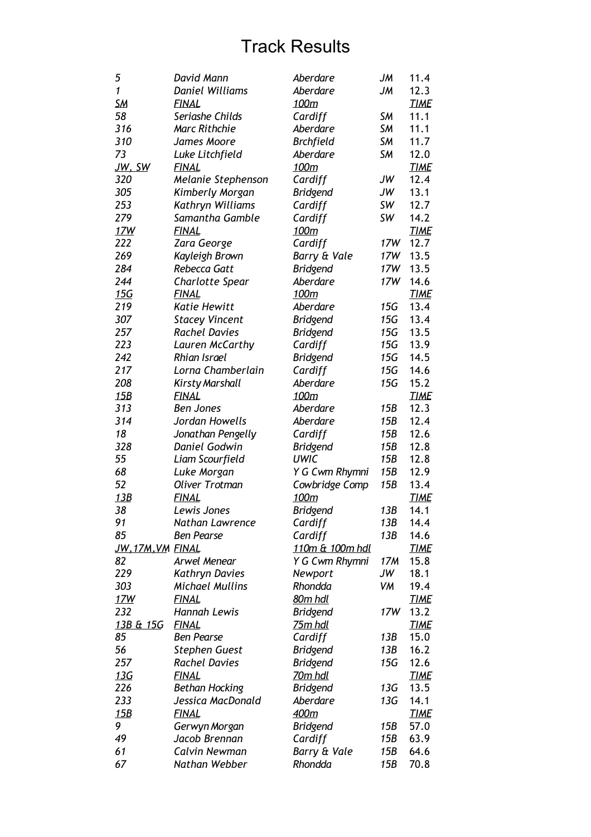| 5                      | David Mann             | Aberdare                   | JM              | 11.4        |
|------------------------|------------------------|----------------------------|-----------------|-------------|
| $\mathbf{1}$           | <b>Daniel Williams</b> | Aberdare                   | JM              | 12.3        |
| <b>SM</b>              | <b>FINAL</b>           | 100m                       |                 | <b>TIME</b> |
| 58                     | Seriashe Childs        | Cardiff                    | SM              | 11.1        |
| 316                    | <b>Marc Rithchie</b>   | Aberdare                   | <b>SM</b>       | 11.1        |
| 310                    | James Moore            | <b>Brchfield</b>           | <b>SM</b>       | 11.7        |
| 73                     | Luke Litchfield        | Aberdare                   | <b>SM</b>       | 12.0        |
| JW, SW                 | <u>FINAL</u>           | 100m                       |                 | <b>TIME</b> |
| 320                    | Melanie Stephenson     | Cardiff                    | JW              | 12.4        |
| 305                    | Kimberly Morgan        | <b>Bridgend</b>            | JW              | 13.1        |
| 253                    | Kathryn Williams       | Cardiff                    | SW              | 12.7        |
| 279                    | Samantha Gamble        | Cardiff                    | SW              | 14.2        |
| <u>17W</u>             | <u>FINAL</u>           | 100m                       |                 | <b>TIME</b> |
| 222                    | Zara George            | Cardiff                    | 17W             | 12.7        |
| 269                    | Kayleigh Brown         | Barry & Vale               | 17W             | 13.5        |
| 284                    | Rebecca Gatt           | <b>Bridgend</b>            | 17W             | 13.5        |
| 244                    | Charlotte Spear        | Aberdare                   | 17W             | 14.6        |
| <u>15G</u>             | FINAL                  | 100m                       |                 | <b>TIME</b> |
|                        | <b>Katie Hewitt</b>    |                            | 15G             |             |
| 219                    |                        | Aberdare                   |                 | 13.4        |
| 307                    | <b>Stacey Vincent</b>  | <b>Bridgend</b>            | 15G             | 13.4        |
| 257                    | <b>Rachel Davies</b>   | <b>Bridgend</b>            | 15G             | 13.5        |
| 223                    | Lauren McCarthy        | Cardiff                    | 15G             | 13.9        |
| 242                    | <b>Rhian Israel</b>    | <b>Bridgend</b>            | 15G             | 14.5        |
| 217                    | Lorna Chamberlain      | Cardiff                    | 15G             | 14.6        |
| 208                    | Kirsty Marshall        | Aberdare                   | 15G             | 15.2        |
| 15B                    | <b>FINAL</b>           | <u>100m</u>                |                 | <b>TIME</b> |
| 313                    | <b>Ben Jones</b>       | Aberdare                   | 15B             | 12.3        |
| 314                    | Jordan Howells         | Aberdare                   | 15B             | 12.4        |
| 18                     | Jonathan Pengelly      | Cardiff                    | 15B             | 12.6        |
| 328                    | Daniel Godwin          | <b>Bridgend</b>            | 15B             | 12.8        |
| 55                     | Liam Scourfield        | <b>UWIC</b>                | 15B             | 12.8        |
| 68                     | Luke Morgan            | Y G Cwm Rhymni             | 15B             | 12.9        |
| 52                     | <b>Oliver Trotman</b>  | Cowbridge Comp             | 15B             | 13.4        |
| 13B                    | <u>FINAL</u>           | <u>100m</u>                |                 | <b>TIME</b> |
| 38                     | Lewis Jones            | <b>Bridgend</b>            | 13B             | 14.1        |
| 91                     | Nathan Lawrence        | Cardiff                    | 13B             | 14.4        |
| 85                     | <b>Ben Pearse</b>      | Cardiff                    | 13B             | 14.6        |
| <u>JW,17M,VM FINAL</u> |                        | <u>110m &amp; 100m hdl</u> |                 | <b>TIME</b> |
| 82                     | Arwel Menear           | Y G Cwm Rhymni             | 17M             | 15.8        |
| 229                    | Kathryn Davies         | Newport                    | JW              | 18.1        |
| 303                    | Michael Mullins        | Rhondda                    | VM              | 19.4        |
| 17W                    | <b>FINAL</b>           | 80m hdl                    |                 | <u>TIME</u> |
| 232                    | Hannah Lewis           | <b>Bridgend</b>            | 17W             | 13.2        |
| 13B & 15G              | <b>FINAL</b>           | <u>75m hdl</u>             |                 | <b>TIME</b> |
| 85                     | Ben Pearse             | Cardiff                    | 13B             | 15.0        |
| 56                     | <b>Stephen Guest</b>   | <b>Bridgend</b>            | 13B             | 16.2        |
| 257                    | <b>Rachel Davies</b>   | <b>Bridgend</b>            | 15G             | 12.6        |
| <u> 13G</u>            | <u>FINAL</u>           | <u>70m hdl</u>             |                 | <b>TIME</b> |
| 226                    | <b>Bethan Hocking</b>  | <b>Bridgend</b>            | 13 <sub>G</sub> | 13.5        |
| 233                    | Jessica MacDonald      | Aberdare                   | 13G             | 14.1        |
| 15B                    | <u>FINAL</u>           | 400m                       |                 | <b>TIME</b> |
| 9                      | Gerwyn Morgan          | <b>Bridgend</b>            | 15B             | 57.0        |
| 49                     | Jacob Brennan          | Cardiff                    | 15B             | 63.9        |
| 61                     | Calvin Newman          | Barry & Vale               | 15B             | 64.6        |
| 67                     | Nathan Webber          | Rhondda                    | 15B             | 70.8        |
|                        |                        |                            |                 |             |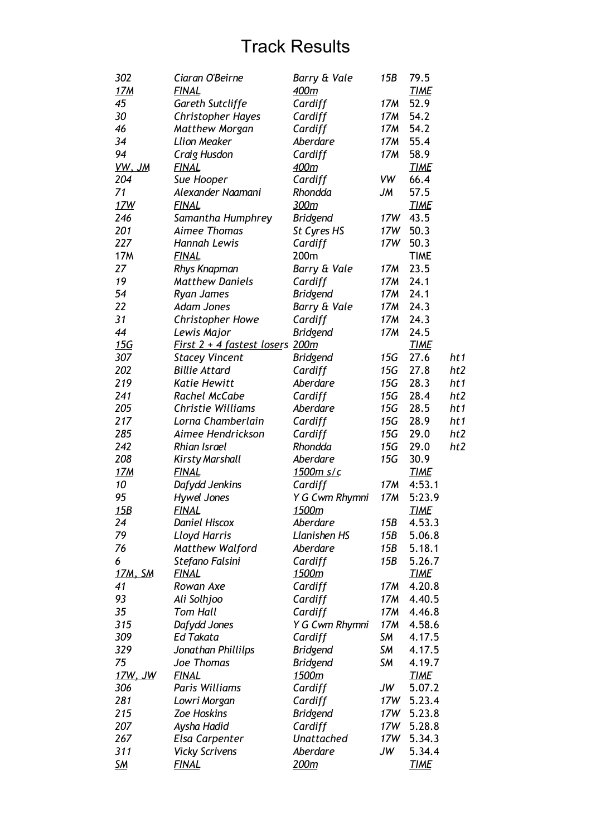| 302            | Ciaran O'Beirne                 | Barry & Vale      | 15B | 79.5        |                 |
|----------------|---------------------------------|-------------------|-----|-------------|-----------------|
| <u>17M</u>     | <b>FINAL</b>                    | 400m              |     | <b>TIME</b> |                 |
| 45             | <b>Gareth Sutcliffe</b>         | Cardiff           | 17M | 52.9        |                 |
| 30             | <b>Christopher Hayes</b>        | Cardiff           | 17M | 54.2        |                 |
| 46             | <b>Matthew Morgan</b>           | Cardiff           | 17M | 54.2        |                 |
| 34             | <b>Llion Meaker</b>             | Aberdare          | 17M | 55.4        |                 |
| 94             | Craig Husdon                    | Cardiff           | 17M | 58.9        |                 |
| VW, JM         | <b>FINAL</b>                    | 400m              |     | <b>TIME</b> |                 |
| 204            | Sue Hooper                      | Cardiff           | VW  | 66.4        |                 |
| 71             | Alexander Naamani               | Rhondda           | JМ  | 57.5        |                 |
| 17W            | <b>FINAL</b>                    | 300m              |     | <b>TIME</b> |                 |
| 246            | Samantha Humphrey               | <b>Bridgend</b>   | 17W | 43.5        |                 |
| 201            | Aimee Thomas                    | St Cyres HS       | 17W | 50.3        |                 |
| 227            | <b>Hannah Lewis</b>             | Cardiff           | 17W | 50.3        |                 |
| <b>17M</b>     | <b>FINAL</b>                    | 200m              |     | <b>TIME</b> |                 |
| 27             | <b>Rhys Knapman</b>             | Barry & Vale      | 17M | 23.5        |                 |
| 19             | <b>Matthew Daniels</b>          | Cardiff           | 17M | 24.1        |                 |
| 54             | <b>Ryan James</b>               | <b>Bridgend</b>   | 17M | 24.1        |                 |
| 22             | <b>Adam Jones</b>               | Barry & Vale      | 17M | 24.3        |                 |
| 31             | <b>Christopher Howe</b>         | Cardiff           | 17M | 24.3        |                 |
| 44             | Lewis Major                     | <b>Bridgend</b>   | 17M | 24.5        |                 |
| 15G            | First 2 + 4 fastest losers 200m |                   |     | <b>TIME</b> |                 |
| 307            | <b>Stacey Vincent</b>           | <b>Bridgend</b>   | 15G | 27.6        | ht1             |
| 202            | <b>Billie Attard</b>            | Cardiff           | 15G | 27.8        | ht <sub>2</sub> |
| 219            | <b>Katie Hewitt</b>             | Aberdare          | 15G | 28.3        | ht1             |
| 241            | Rachel McCabe                   | Cardiff           | 15G | 28.4        | ht2             |
| 205            | <b>Christie Williams</b>        | Aberdare          | 15G | 28.5        | ht1             |
| 217            | Lorna Chamberlain               |                   | 15G | 28.9        | ht1             |
| 285            | Aimee Hendrickson               | Cardiff           | 15G |             | ht2             |
|                |                                 | Cardiff           |     | 29.0        |                 |
| 242            | <b>Rhian Israel</b>             | Rhondda           | 15G | 29.0        | ht2             |
| 208            | <b>Kirsty Marshall</b>          | Aberdare          | 15G | 30.9        |                 |
| <u>17M</u>     | <b>FINAL</b>                    | 1500m s/c         |     | <b>TIME</b> |                 |
| 10             | Dafydd Jenkins                  | Cardiff           | 17M | 4:53.1      |                 |
| 95             | <b>Hywel Jones</b>              | Y G Cwm Rhymni    | 17M | 5:23.9      |                 |
| 15B            | <b>FINAL</b>                    | 1500m             |     | <b>TIME</b> |                 |
| 24             | <b>Daniel Hiscox</b>            | Aberdare          | 15B | 4.53.3      |                 |
| 79             | <b>Lloyd Harris</b>             | Llanishen HS      | 15B | 5.06.8      |                 |
| 76             | <b>Matthew Walford</b>          | Aberdare          | 15B | 5.18.1      |                 |
| 6              | Stefano Falsini                 | Cardiff           | 15B | 5.26.7      |                 |
| 17M, SM        | <b>FINAL</b>                    | 1500m             |     | <b>TIME</b> |                 |
| 41             | Rowan Axe                       | Cardiff           | 17M | 4.20.8      |                 |
| 93             | Ali Solhjoo                     | Cardiff           | 17M | 4.40.5      |                 |
| 35             | <b>Tom Hall</b>                 | Cardiff           | 17M | 4.46.8      |                 |
| 315            | Dafydd Jones                    | Y G Cwm Rhymni    | 17M | 4.58.6      |                 |
| 309            | <b>Ed Takata</b>                | Cardiff           | SМ  | 4.17.5      |                 |
| 329            | Jonathan Phillilps              | <b>Bridgend</b>   | SМ  | 4.17.5      |                 |
| 75             | Joe Thomas                      | <b>Bridgend</b>   | SМ  | 4.19.7      |                 |
| <u>17W, JW</u> | <b>FINAL</b>                    | 1500m             |     | <b>TIME</b> |                 |
| 306            | Paris Williams                  | Cardiff           | JW  | 5.07.2      |                 |
| 281            | Lowri Morgan                    | Cardiff           | 17W | 5.23.4      |                 |
| 215            | <b>Zoe Hoskins</b>              | <b>Bridgend</b>   | 17W | 5.23.8      |                 |
| 207            | Aysha Hadid                     | Cardiff           | 17W | 5.28.8      |                 |
| 267            | Elsa Carpenter                  | <b>Unattached</b> | 17W | 5.34.3      |                 |
| 311            | <b>Vicky Scrivens</b>           | Aberdare          | JW  | 5.34.4      |                 |
| <u>SM</u>      | <b>FINAL</b>                    | 200m              |     | <b>TIME</b> |                 |
|                |                                 |                   |     |             |                 |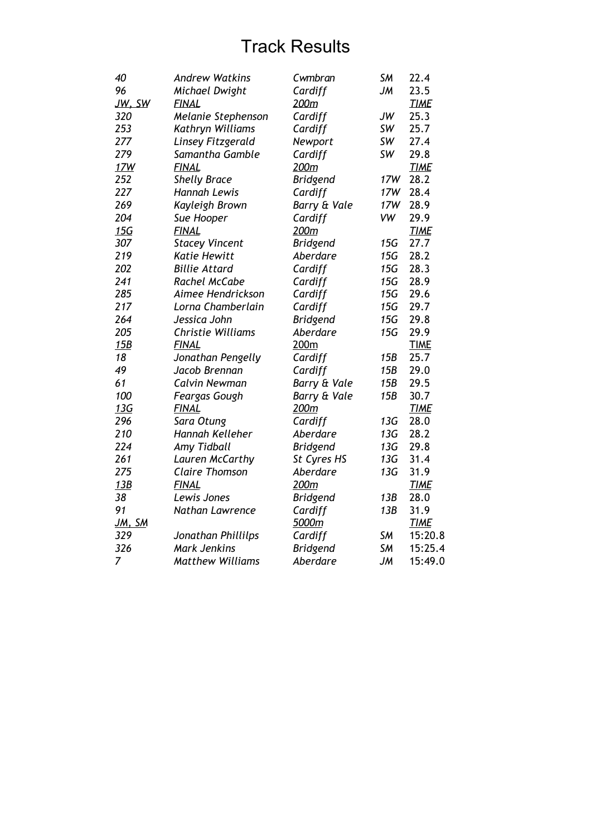| 40            | <b>Andrew Watkins</b>    | Cwmbran         | SM        | 22.4        |
|---------------|--------------------------|-----------------|-----------|-------------|
| 96            | Michael Dwight           | Cardiff         | JM        | 23.5        |
| JW, SW        | <b>FINAL</b>             | 200m            |           | <b>TIME</b> |
| 320           | Melanie Stephenson       | Cardiff         | JW        | 25.3        |
| 253           | Kathryn Williams         | Cardiff         | SW        | 25.7        |
| 277           | Linsey Fitzgerald        | Newport         | SW        | 27.4        |
| 279           | Samantha Gamble          | Cardiff         | SW        | 29.8        |
| 17W           | <b>FINAL</b>             | 200m            |           | <b>TIME</b> |
| 252           | <b>Shelly Brace</b>      | <b>Bridgend</b> | 17W       | 28.2        |
| 227           | Hannah Lewis             | Cardiff         | 17W       | 28.4        |
| 269           | Kayleigh Brown           | Barry & Vale    | 17W       | 28.9        |
| 204           | Sue Hooper               | Cardiff         | <b>VW</b> | 29.9        |
| <u>15G</u>    | <b>FINAL</b>             | 200m            |           | <b>TIME</b> |
| 307           | <b>Stacey Vincent</b>    | <b>Bridgend</b> | 15G       | 27.7        |
| 219           | <b>Katie Hewitt</b>      | Aberdare        | 15G       | 28.2        |
| 202           | <b>Billie Attard</b>     | Cardiff         | 15G       | 28.3        |
| 241           | Rachel McCabe            | Cardiff         | 15G       | 28.9        |
| 285           | Aimee Hendrickson        | Cardiff         | 15G       | 29.6        |
| 217           | Lorna Chamberlain        | Cardiff         | 15G       | 29.7        |
| 264           | Jessica John             | <b>Bridgend</b> | 15G       | 29.8        |
| 205           | <b>Christie Williams</b> | Aberdare        | 15G       | 29.9        |
| 15B           | <b>FINAL</b>             | 200m            |           | <b>TIME</b> |
| 18            | Jonathan Pengelly        | Cardiff         | 15B       | 25.7        |
| 49            | Jacob Brennan            | Cardiff         | 15B       | 29.0        |
| 61            | Calvin Newman            | Barry & Vale    | 15B       | 29.5        |
| 100           | Feargas Gough            | Barry & Vale    | 15B       | 30.7        |
| 13G           | <b>FINAL</b>             | 200m            |           | <b>TIME</b> |
| 296           | Sara Otung               | Cardiff         | 13G       | 28.0        |
| 210           | Hannah Kelleher          | Aberdare        | 13G       | 28.2        |
| 224           | <b>Amy Tidball</b>       | <b>Bridgend</b> | 13G       | 29.8        |
| 261           | Lauren McCarthy          | St Cyres HS     | 13G       | 31.4        |
| 275           | <b>Claire Thomson</b>    | Aberdare        | 13G       | 31.9        |
| 13B           | <b>FINAL</b>             | 200m            |           | <b>TIME</b> |
| 38            | Lewis Jones              | <b>Bridgend</b> | 13B       | 28.0        |
| 91            | Nathan Lawrence          | Cardiff         | 13B       | 31.9        |
| <u>JM, SM</u> |                          | 5000m           |           | <b>TIME</b> |
| 329           | Jonathan Phillilps       | Cardiff         | <b>SM</b> | 15:20.8     |
| 326           | <b>Mark Jenkins</b>      | <b>Bridgend</b> | SM        | 15:25.4     |
| 7             | <b>Matthew Williams</b>  | Aberdare        | JM        | 15:49.0     |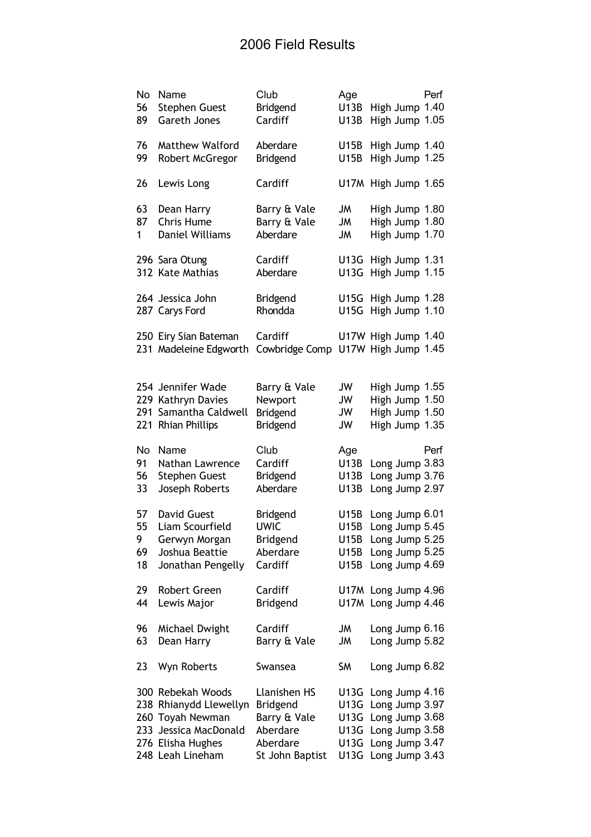| No<br>56<br>89            | Name<br><b>Stephen Guest</b><br>Gareth Jones                                                                                      | Club<br>Bridgend<br>Cardiff                                                                | Age<br>U13B<br><b>U13B</b>                   | High Jump 1.40<br>High Jump 1.05                                                                         | Perf |
|---------------------------|-----------------------------------------------------------------------------------------------------------------------------------|--------------------------------------------------------------------------------------------|----------------------------------------------|----------------------------------------------------------------------------------------------------------|------|
| 76<br>99                  | <b>Matthew Walford</b><br>Robert McGregor                                                                                         | Aberdare<br><b>Bridgend</b>                                                                | <b>U15B</b><br><b>U15B</b>                   | High Jump 1.40<br>High Jump 1.25                                                                         |      |
| 26                        | Lewis Long                                                                                                                        | Cardiff                                                                                    |                                              | U17M High Jump 1.65                                                                                      |      |
| 63<br>87<br>1             | Dean Harry<br><b>Chris Hume</b><br><b>Daniel Williams</b>                                                                         | Barry & Vale<br>Barry & Vale<br>Aberdare                                                   | JM<br><b>JM</b><br>JM                        | High Jump 1.80<br>High Jump 1.80<br>High Jump 1.70                                                       |      |
|                           | 296 Sara Otung<br>312 Kate Mathias                                                                                                | Cardiff<br>Aberdare                                                                        | U13G<br>U13G                                 | High Jump 1.31<br>High Jump 1.15                                                                         |      |
|                           | 264 Jessica John<br>287 Carys Ford                                                                                                | <b>Bridgend</b><br>Rhondda                                                                 | U15G<br><b>U15G</b>                          | High Jump 1.28<br>High Jump 1.10                                                                         |      |
|                           | 250 Eiry Sian Bateman<br>231 Madeleine Edgworth                                                                                   | Cardiff<br>Cowbridge Comp                                                                  |                                              | U17W High Jump 1.40<br>U17W High Jump 1.45                                                               |      |
|                           | 254 Jennifer Wade<br>229 Kathryn Davies<br>291 Samantha Caldwell<br>221 Rhian Phillips                                            | Barry & Vale<br>Newport<br><b>Bridgend</b><br><b>Bridgend</b>                              | JW<br>JW<br>JW<br>JW                         | High Jump 1.55<br>High Jump 1.50<br>High Jump 1.50<br>High Jump 1.35                                     |      |
| No<br>91<br>56<br>33      | Name<br>Nathan Lawrence<br><b>Stephen Guest</b><br>Joseph Roberts                                                                 | Club<br>Cardiff<br><b>Bridgend</b><br>Aberdare                                             | Age<br>U13B<br>U13B<br><b>U13B</b>           | Long Jump 3.83<br>Long Jump 3.76<br>Long Jump 2.97                                                       | Perf |
| 57<br>55<br>9<br>69<br>18 | <b>David Guest</b><br>Liam Scourfield<br>Gerwyn Morgan<br>Joshua Beattie<br>Jonathan Pengelly                                     | Bridgend<br><b>UWIC</b><br><b>Bridgend</b><br>Aberdare<br>Cardiff                          | U15B<br>U15B<br>U15B<br>U15B<br>U15B         | Long Jump 6.01<br>Long Jump 5.45<br>Long Jump 5.25<br>Long Jump 5.25<br>Long Jump 4.69                   |      |
| 29<br>44                  | Robert Green<br>Lewis Major                                                                                                       | Cardiff<br><b>Bridgend</b>                                                                 |                                              | U17M Long Jump 4.96<br>U17M Long Jump 4.46                                                               |      |
| 96<br>63                  | Michael Dwight<br>Dean Harry                                                                                                      | Cardiff<br>Barry & Vale                                                                    | <b>JM</b><br><b>JM</b>                       | Long Jump 6.16<br>Long Jump 5.82                                                                         |      |
| 23                        | Wyn Roberts                                                                                                                       | Swansea                                                                                    | <b>SM</b>                                    | Long Jump 6.82                                                                                           |      |
|                           | 300 Rebekah Woods<br>238 Rhianydd Llewellyn<br>260 Toyah Newman<br>233 Jessica MacDonald<br>276 Elisha Hughes<br>248 Leah Lineham | Llanishen HS<br><b>Bridgend</b><br>Barry & Vale<br>Aberdare<br>Aberdare<br>St John Baptist | U13G<br>U13G<br>U13G<br>U13G<br>U13G<br>U13G | Long Jump 4.16<br>Long Jump 3.97<br>Long Jump 3.68<br>Long Jump 3.58<br>Long Jump 3.47<br>Long Jump 3.43 |      |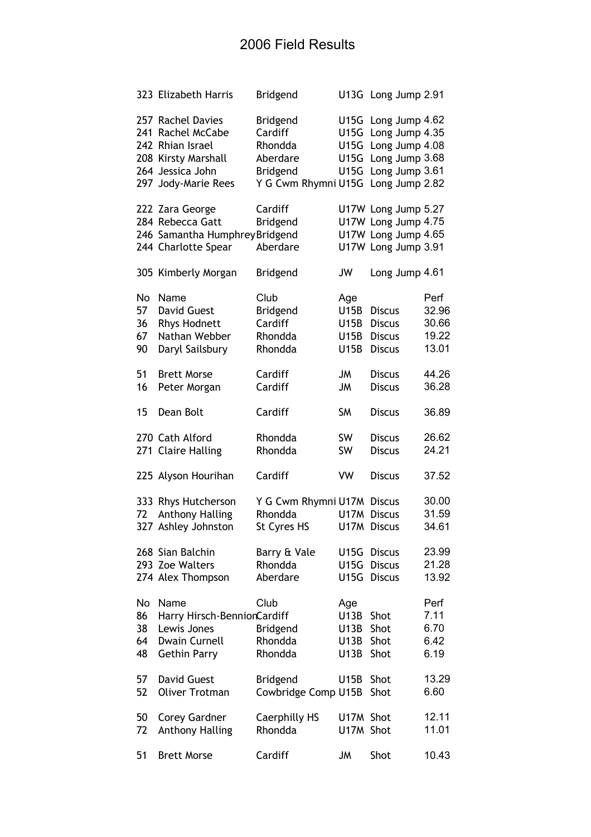|    | 323 Elizabeth Harris                                       | <b>Bridgend</b>                       |             | U13G Long Jump 2.91                                          |       |
|----|------------------------------------------------------------|---------------------------------------|-------------|--------------------------------------------------------------|-------|
|    | 257 Rachel Davies<br>241 Rachel McCabe<br>242 Rhian Israel | <b>Bridgend</b><br>Cardiff<br>Rhondda | U15G        | U15G Long Jump 4.62<br>Long Jump 4.35<br>U15G Long Jump 4.08 |       |
|    | 208 Kirsty Marshall                                        | Aberdare                              |             | U15G Long Jump 3.68                                          |       |
|    | 264 Jessica John                                           | <b>Bridgend</b>                       | U15G        | Long Jump 3.61                                               |       |
|    | 297 Jody-Marie Rees                                        | Y G Cwm Rhymni U15G Long Jump 2.82    |             |                                                              |       |
|    | 222 Zara George                                            | Cardiff                               |             | U17W Long Jump 5.27                                          |       |
|    | 284 Rebecca Gatt                                           | <b>Bridgend</b>                       |             | U17W Long Jump 4.75                                          |       |
|    | 246 Samantha Humphrey Bridgend                             |                                       |             | U17W Long Jump 4.65                                          |       |
|    | 244 Charlotte Spear                                        | Aberdare                              |             | U17W Long Jump 3.91                                          |       |
|    | 305 Kimberly Morgan                                        | <b>Bridgend</b>                       | JW          | Long Jump 4.61                                               |       |
| No | Name                                                       | Club                                  | Age         |                                                              | Perf  |
| 57 | <b>David Guest</b>                                         | <b>Bridgend</b>                       | U15B        | <b>Discus</b>                                                | 32.96 |
| 36 | <b>Rhys Hodnett</b>                                        | Cardiff                               | U15B        | <b>Discus</b>                                                | 30.66 |
| 67 | Nathan Webber                                              | Rhondda                               | U15B        | <b>Discus</b>                                                | 19.22 |
| 90 | Daryl Sailsbury                                            | Rhondda                               | U15B        | <b>Discus</b>                                                | 13.01 |
| 51 | <b>Brett Morse</b>                                         | Cardiff                               | JM          | <b>Discus</b>                                                | 44.26 |
| 16 | Peter Morgan                                               | Cardiff                               | <b>JM</b>   | <b>Discus</b>                                                | 36.28 |
| 15 | Dean Bolt                                                  | Cardiff                               | <b>SM</b>   | <b>Discus</b>                                                | 36.89 |
|    | 270 Cath Alford                                            | Rhondda                               | SW          | <b>Discus</b>                                                | 26.62 |
|    | 271 Claire Halling                                         | Rhondda                               | SW          | <b>Discus</b>                                                | 24.21 |
|    | 225 Alyson Hourihan                                        | Cardiff                               | <b>VW</b>   | <b>Discus</b>                                                | 37.52 |
|    | 333 Rhys Hutcherson                                        | Y G Cwm Rhymni U17M Discus            |             |                                                              | 30.00 |
| 72 | <b>Anthony Halling</b>                                     | Rhondda                               | <b>U17M</b> | <b>Discus</b>                                                | 31.59 |
|    | 327 Ashley Johnston                                        | St Cyres HS                           |             | U17M Discus                                                  | 34.61 |
|    | 268 Sian Balchin                                           | Barry & Vale                          | U15G        | <b>Discus</b>                                                | 23.99 |
|    | 293 Zoe Walters                                            | Rhondda                               | U15G        | <b>Discus</b>                                                | 21.28 |
|    | 274 Alex Thompson                                          | Aberdare                              | <b>U15G</b> | <b>Discus</b>                                                | 13.92 |
| No | Name                                                       | Club                                  | Age         |                                                              | Perf  |
| 86 | Harry Hirsch-BennionCardiff                                |                                       | <b>U13B</b> | Shot                                                         | 7.11  |
| 38 | Lewis Jones                                                | <b>Bridgend</b>                       | U13B        | Shot                                                         | 6.70  |
| 64 | <b>Dwain Curnell</b>                                       | Rhondda                               | U13B        | Shot                                                         | 6.42  |
| 48 | <b>Gethin Parry</b>                                        | Rhondda                               | U13B        | Shot                                                         | 6.19  |
| 57 | <b>David Guest</b>                                         | <b>Bridgend</b>                       | U15B        | Shot                                                         | 13.29 |
| 52 | <b>Oliver Trotman</b>                                      | Cowbridge Comp U15B                   |             | Shot                                                         | 6.60  |
| 50 | <b>Corey Gardner</b>                                       | <b>Caerphilly HS</b>                  | U17M Shot   |                                                              | 12.11 |
| 72 | <b>Anthony Halling</b>                                     | Rhondda                               | U17M Shot   |                                                              | 11.01 |
|    |                                                            |                                       |             |                                                              |       |
| 51 | <b>Brett Morse</b>                                         | Cardiff                               | JM          | Shot                                                         | 10.43 |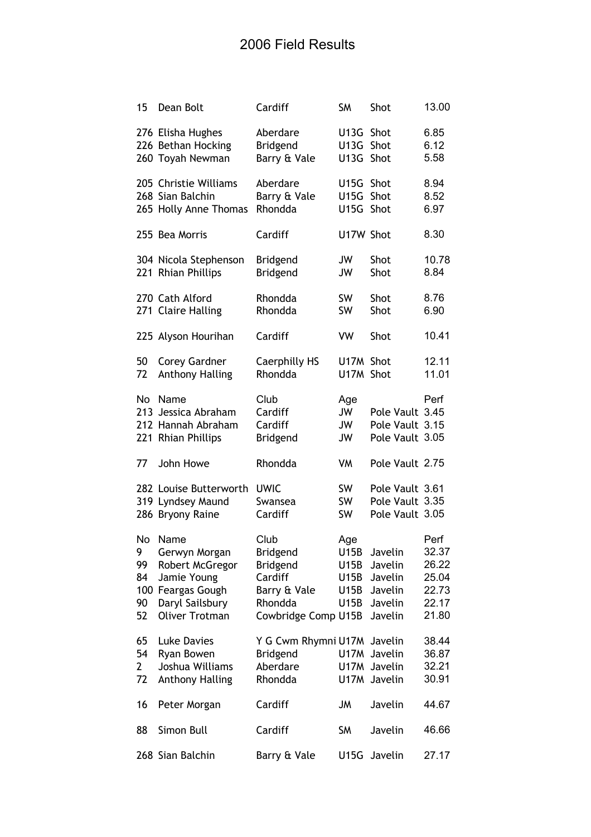| 15                                     | Dean Bolt                                                                                                            | Cardiff                                                                                          | <b>SM</b>                                   | Shot                                                           | 13.00                                                      |
|----------------------------------------|----------------------------------------------------------------------------------------------------------------------|--------------------------------------------------------------------------------------------------|---------------------------------------------|----------------------------------------------------------------|------------------------------------------------------------|
|                                        | 276 Elisha Hughes<br>226 Bethan Hocking<br>260 Toyah Newman                                                          | Aberdare<br><b>Bridgend</b><br>Barry & Vale                                                      | U13G<br>U13G<br>U13G                        | Shot<br>Shot<br>Shot                                           | 6.85<br>6.12<br>5.58                                       |
|                                        | 205 Christie Williams<br>268 Sian Balchin<br>265 Holly Anne Thomas                                                   | Aberdare<br>Barry & Vale<br>Rhondda                                                              | U15G<br><b>U15G</b><br><b>U15G</b>          | Shot<br>Shot<br>Shot                                           | 8.94<br>8.52<br>6.97                                       |
|                                        | 255 Bea Morris                                                                                                       | Cardiff                                                                                          | U17W Shot                                   |                                                                | 8.30                                                       |
|                                        | 304 Nicola Stephenson<br>221 Rhian Phillips                                                                          | <b>Bridgend</b><br><b>Bridgend</b>                                                               | JW<br>JW                                    | Shot<br>Shot                                                   | 10.78<br>8.84                                              |
|                                        | 270 Cath Alford<br>271 Claire Halling                                                                                | Rhondda<br>Rhondda                                                                               | <b>SW</b><br>SW                             | Shot<br>Shot                                                   | 8.76<br>6.90                                               |
|                                        | 225 Alyson Hourihan                                                                                                  | Cardiff                                                                                          | VW                                          | Shot                                                           | 10.41                                                      |
| 50<br>72                               | <b>Corey Gardner</b><br><b>Anthony Halling</b>                                                                       | <b>Caerphilly HS</b><br>Rhondda                                                                  | U17M Shot<br>U17M Shot                      |                                                                | 12.11<br>11.01                                             |
| No                                     | Name<br>213 Jessica Abraham<br>212 Hannah Abraham<br>221 Rhian Phillips                                              | Club<br>Cardiff<br>Cardiff<br><b>Bridgend</b>                                                    | Age<br>JW<br>JW<br>JW                       | Pole Vault 3.45<br>Pole Vault 3.15<br>Pole Vault 3.05          | Perf                                                       |
| 77                                     | John Howe                                                                                                            | Rhondda                                                                                          | VM                                          | Pole Vault 2.75                                                |                                                            |
|                                        | 282 Louise Butterworth<br>319 Lyndsey Maund<br>286 Bryony Raine                                                      | <b>UWIC</b><br>Swansea<br>Cardiff                                                                | SW<br>SW<br>SW                              | Pole Vault 3.61<br>Pole Vault 3.35<br>Pole Vault 3.05          |                                                            |
| No<br>9<br>99<br>84<br>100<br>90<br>52 | Name<br>Gerwyn Morgan<br>Robert McGregor<br>Jamie Young<br>Feargas Gough<br>Daryl Sailsbury<br><b>Oliver Trotman</b> | Club<br>Bridgend<br><b>Bridgend</b><br>Cardiff<br>Barry & Vale<br>Rhondda<br>Cowbridge Comp U15B | Age<br>U15B<br>U15B<br>U15B<br>U15B<br>U15B | Javelin<br>Javelin<br>Javelin<br>Javelin<br>Javelin<br>Javelin | Perf<br>32.37<br>26.22<br>25.04<br>22.73<br>22.17<br>21.80 |
| 65<br>54<br>2<br>72                    | <b>Luke Davies</b><br>Ryan Bowen<br>Joshua Williams<br>Anthony Halling                                               | Y G Cwm Rhymni U17M Javelin<br>Bridgend<br>Aberdare<br>Rhondda                                   |                                             | U17M Javelin<br>U17M Javelin<br>U17M Javelin                   | 38.44<br>36.87<br>32.21<br>30.91                           |
| 16                                     | Peter Morgan                                                                                                         | Cardiff                                                                                          | <b>JM</b>                                   | Javelin                                                        | 44.67                                                      |
| 88                                     | Simon Bull                                                                                                           | Cardiff                                                                                          | <b>SM</b>                                   | Javelin                                                        | 46.66                                                      |
|                                        | 268 Sian Balchin                                                                                                     | Barry & Vale                                                                                     | <b>U15G</b>                                 | Javelin                                                        | 27.17                                                      |